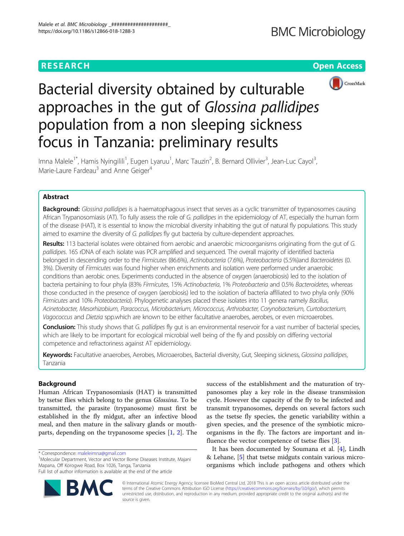## **RESEARCH CHEART CONTROL**



# Bacterial diversity obtained by culturable approaches in the gut of Glossina pallidipes population from a non sleeping sickness focus in Tanzania: preliminary results

Imna Malele<sup>1\*</sup>, Hamis Nyingilili<sup>1</sup>, Eugen Lyaruu<sup>1</sup>, Marc Tauzin<sup>2</sup>, B. Bernard Ollivier<sup>3</sup>, Jean-Luc Cayol<sup>3</sup> , Marie-Laure Fardeau<sup>3</sup> and Anne Geiger<sup>4</sup>

### Abstract

Background: Glossina pallidipes is a haematophagous insect that serves as a cyclic transmitter of trypanosomes causing African Trypanosomiasis (AT). To fully assess the role of G. pallidipes in the epidemiology of AT, especially the human form of the disease (HAT), it is essential to know the microbial diversity inhabiting the gut of natural fly populations. This study aimed to examine the diversity of G. pallidipes fly gut bacteria by culture-dependent approaches.

Results: 113 bacterial isolates were obtained from aerobic and anaerobic microorganisms originating from the gut of G. pallidipes. 16S rDNA of each isolate was PCR amplified and sequenced. The overall majority of identified bacteria belonged in descending order to the Firmicutes (86.6%), Actinobacteria (7.6%), Proteobacteria (5.5%)and Bacteroidetes (0. 3%). Diversity of Firmicutes was found higher when enrichments and isolation were performed under anaerobic conditions than aerobic ones. Experiments conducted in the absence of oxygen (anaerobiosis) led to the isolation of bacteria pertaining to four phyla (83% Firmicutes, 15% Actinobacteria, 1% Proteobacteria and 0.5% Bacteroidetes, whereas those conducted in the presence of oxygen (aerobiosis) led to the isolation of bacteria affiliated to two phyla only (90% Firmicutes and 10% Proteobacteria). Phylogenetic analyses placed these isolates into 11 genera namely Bacillus, Acinetobacter, Mesorhizobium, Paracoccus, Microbacterium, Micrococcus, Arthrobacter, Corynobacterium, Curtobacterium, Vagococcus and Dietzia spp.which are known to be either facultative anaerobes, aerobes, or even microaerobes.

**Conclusion:** This study shows that G. pallidipes fly gut is an environmental reservoir for a vast number of bacterial species, which are likely to be important for ecological microbial well being of the fly and possibly on differing vectorial competence and refractoriness against AT epidemiology.

Keywords: Facultative anaerobes, Aerobes, Microaerobes, Bacterial diversity, Gut, Sleeping sickness, Glossina pallidipes, Tanzania

#### Background

Human African Trypanosomiasis (HAT) is transmitted by tsetse flies which belong to the genus Glossina. To be transmitted, the parasite (trypanosome) must first be established in the fly midgut, after an infective blood meal, and then mature in the salivary glands or mouthparts, depending on the trypanosome species [\[1](#page-8-0), [2\]](#page-8-0). The

Full list of author information is available at the end of the article



success of the establishment and the maturation of trypanosomes play a key role in the disease transmission cycle. However the capacity of the fly to be infected and transmit trypanosomes, depends on several factors such as the tsetse fly species, the genetic variability within a given species, and the presence of the symbiotic microorganisms in the fly. The factors are important and in-fluence the vector competence of tsetse flies [\[3](#page-8-0)].

It has been documented by Soumana et al. [\[4](#page-8-0)], Lindh & Lehane, [[5\]](#page-8-0) that tsetse midguts contain various microorganisms which include pathogens and others which

© International Atomic Energy Agency; licensee BioMed Central Ltd. 2018 This is an open access article distributed under the terms of the Creative Commons Attribution IGO License [\(https://creativecommons.org/licenses/by/3.0/igo/\)](https://creativecommons.org/licenses/by/3.0/igo/), which permits unrestricted use, distribution, and reproduction in any medium, provided appropriate credit to the original author(s) and the source is given.

<sup>\*</sup> Correspondence: [maleleimna@gmail.com](mailto:maleleimna@gmail.com) <sup>1</sup>

<sup>&</sup>lt;sup>1</sup>Molecular Department, Vector and Vector Borne Diseases Institute, Majani Mapana, Off Korogwe Road, Box 1026, Tanga, Tanzania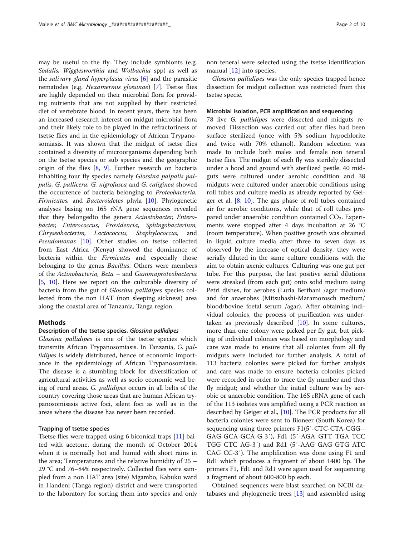may be useful to the fly. They include symbionts (e.g. Sodalis, Wigglesworthia and Wolbachia spp) as well as the *salivary gland hyperplasia virus*  $[6]$  $[6]$  $[6]$  and the parasitic nematodes (e.g. Hexamermis glossinae) [[7](#page-8-0)]. Tsetse flies are highly depended on their microbial flora for providing nutrients that are not supplied by their restricted diet of vertebrate blood. In recent years, there has been an increased research interest on midgut microbial flora and their likely role to be played in the refractoriness of tsetse flies and in the epidemiology of African Trypanosomiasis. It was shown that the midgut of tsetse flies contained a diversity of microorganisms depending both on the tsetse species or sub species and the geographic origin of the flies [[8,](#page-8-0) [9\]](#page-8-0). Further research on bacteria inhabiting four fly species namely Glossina palpalis palpalis, G. pallicera, G. nigrofusca and G. caliginea showed the occurrence of bacteria belonging to Proteobacteria, Firmicutes, and Bacteroidetes phyla [[10\]](#page-8-0). Phylogenetic analyses basing on 16S rNA gene sequences revealed that they belongedto the genera Acinetobacter, Enterobacter, Enterococcus, Providencia, Sphingobacterium, Chryseobacterim, Lactococcus, Staphylococcus, and Pseudomonas [\[10](#page-8-0)]. Other studies on tsetse collected from East Africa (Kenya) showed the dominance of bacteria within the Firmicutes and especially those belonging to the genus *Bacillus*. Others were members of the Actinobacteria, Beta – and Gammaproteobacteria [[5,](#page-8-0) [10\]](#page-8-0). Here we report on the culturable diversity of bacteria from the gut of Glossina pallidipes species collected from the non HAT (non sleeping sickness) area along the coastal area of Tanzania, Tanga region.

#### Methods

#### Description of the tsetse species, Glossina pallidipes

Glossina pallidipes is one of the tsetse species which transmits African Trypanosomiasis. In Tanzania, G. pallidipes is widely distributed, hence of economic importance in the epidemiology of African Trypanosomiasis. The disease is a stumbling block for diversification of agricultural activities as well as socio economic well being of rural areas. G. pallidipes occurs in all belts of the country covering those areas that are human African trypanosomisasis active foci, silent foci as well as in the areas where the disease has never been recorded.

#### Trapping of tsetse species

Tsetse flies were trapped using 6 biconical traps [[11\]](#page-8-0) baited with acetone, during the month of October 2014 when it is normally hot and humid with short rains in the area; Temperatures and the relative humidity of 25 – 29 °C and 76–84% respectively. Collected flies were sampled from a non HAT area (site) Mgambo, Kabuku ward in Handeni (Tanga region) district and were transported to the laboratory for sorting them into species and only

non teneral were selected using the tsetse identification manual [\[12\]](#page-8-0) into species.

Glossina pallidipes was the only species trapped hence dissection for midgut collection was restricted from this tsetse specie.

#### Microbial isolation, PCR amplification and sequencing

78 live G. pallidipes were dissected and midguts removed. Dissection was carried out after flies had been surface sterilized (once with 5% sodium hypochlorite and twice with 70% ethanol). Random selection was made to include both males and female non teneral tsetse flies. The midgut of each fly was sterilely dissected under a hood and ground with sterilized pestle. 40 midguts were cultured under aerobic condition and 38 midguts were cultured under anaerobic conditions using roll tubes and culture media as already reported by Geiger et al. [\[8,](#page-8-0) [10\]](#page-8-0). The gas phase of roll tubes contained air for aerobic conditions, while that of roll tubes prepared under anaerobic condition contained  $CO<sub>2</sub>$ . Experiments were stopped after 4 days incubation at 26 °C (room temperature). When positive growth was obtained in liquid culture media after three to seven days as observed by the increase of optical density, they were serially diluted in the same culture conditions with the aim to obtain axenic cultures. Culturing was one gut per tube. For this purpose, the last positive serial dilutions were streaked (from each gut) onto solid medium using Petri dishes, for aerobes (Luria Berthani /agar medium) and for anaerobes (Mitsuhashi-Maramorosch medium/ blood/bovine foetal serum /agar). After obtaining individual colonies, the process of purification was undertaken as previously described [\[10](#page-8-0)]. In some cultures, more than one colony were picked per fly gut, but picking of individual colonies was based on morphology and care was made to ensure that all colonies from all fly midguts were included for further analysis. A total of 113 bacteria colonies were picked for further analysis and care was made to ensure bacteria colonies picked were recorded in order to trace the fly number and thus fly midgut; and whether the initial culture was by aerobic or anaerobic condition. The 16S rRNA gene of each of the 113 isolates was amplified using a PCR reaction as described by Geiger et al., [[10\]](#page-8-0). The PCR products for all bacteria colonies were sent to Bioneer (South Korea) for sequencing using three primers F1(5′-CTC-CTA-CGG-- GAG-GCA-GCA-G-3′), Fd1 (5′-AGA GTT TGA TCC TGG CTC AG-3′) and Rd1 (5′-AAG GAG GTG ATC CAG CC-3′). The amplification was done using F1 and Rd1 which produces a fragment of about 1400 bp. The primers F1, Fd1 and Rd1 were again used for sequencing a fragment of about 600-800 bp each.

Obtained sequences were blast searched on NCBI databases and phylogenetic trees [[13\]](#page-8-0) and assembled using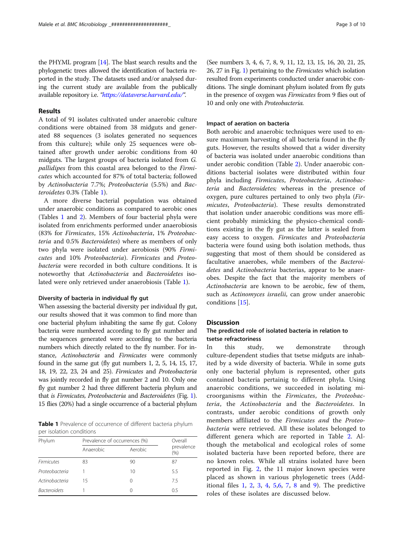<span id="page-2-0"></span>the PHYML program [\[14\]](#page-8-0). The blast search results and the phylogenetic trees allowed the identification of bacteria reported in the study. The datasets used and/or analysed during the current study are available from the publically available repository i.e. "<https://dataverse.harvard.edu/>".

#### Results

A total of 91 isolates cultivated under anaerobic culture conditions were obtained from 38 midguts and generated 88 sequences (3 isolates generated no sequences from this culture); while only 25 sequences were obtained after growth under aerobic conditions from 40 midguts. The largest groups of bacteria isolated from G. pallidipes from this coastal area belonged to the Firmicutes which accounted for 87% of total bacteria; followed by Actinobacteria 7.7%; Proteobacteria (5.5%) and Bacteroidetes 0.3% (Table 1).

A more diverse bacterial population was obtained under anaerobic conditions as compared to aerobic ones (Tables 1 and [2](#page-3-0)). Members of four bacterial phyla were isolated from enrichments performed under anaerobiosis (83% for Firmicutes, 15% Actinobacteria, 1% Proteobacteria and 0.5% Bacteroidetes) where as members of only two phyla were isolated under aerobiosis (90% Firmicutes and 10% Proteobacteria). Firmicutes and Proteobacteria were recorded in both culture conditions. It is noteworthy that Actinobacteria and Bacteroidetes isolated were only retrieved under anaerobiosis (Table 1).

#### Diversity of bacteria in individual fly gut

When assessing the bacterial diversity per individual fly gut, our results showed that it was common to find more than one bacterial phylum inhabiting the same fly gut. Colony bacteria were numbered according to fly gut number and the sequences generated were according to the bacteria numbers which directly related to the fly number. For instance, Actinobacteria and Firmicutes were commonly found in the same gut (fly gut numbers 1, 2, 5, 14, 15, 17, 18, 19, 22, 23, 24 and 25). Firmicutes and Proteobacteria was jointly recorded in fly gut number 2 and 10. Only one fly gut number 2 had three different bacteria phylum and that is Firmicutes, Proteobacteria and Bacteroidetes (Fig. [1](#page-3-0)). 15 flies (20%) had a single occurrence of a bacterial phylum

Table 1 Prevalence of occurrence of different bacteria phylum per isolation conditions

| Prevalence of occurrences (%) |                  | Overall            |
|-------------------------------|------------------|--------------------|
| Anaerobic                     | Aerobic          | prevalence<br>(% ) |
| 83                            | 90               | 87                 |
|                               | 10               | 5.5                |
| 15                            | 0                | 75                 |
|                               | $\left( \right)$ | 0.5                |
|                               |                  |                    |

(See numbers 3, 4, 6, 7, 8, 9, 11, 12, 13, 15, 16, 20, 21, 25, 26, 27 in Fig. [1](#page-3-0)) pertaining to the Firmicutes which isolation resulted from experiments conducted under anaerobic conditions. The single dominant phylum isolated from fly guts in the presence of oxygen was Firmicutes from 9 flies out of 10 and only one with Proteobacteria.

#### Impact of aeration on bacteria

Both aerobic and anaerobic techniques were used to ensure maximum harvesting of all bacteria found in the fly guts. However, the results showed that a wider diversity of bacteria was isolated under anaerobic conditions than under aerobic condition (Table [2](#page-3-0)). Under anaerobic conditions bacterial isolates were distributed within four phyla including Firmicutes, Proteobacteria, Actinobacteria and Bacteroidetes; whereas in the presence of oxygen, pure cultures pertained to only two phyla (Firmicutes, Proteobacteria). These results demonstrated that isolation under anaerobic conditions was more efficient probably mimicking the physico-chemical conditions existing in the fly gut as the latter is sealed from easy access to oxygen. Firmicutes and Proteobacteria bacteria were found using both isolation methods, thus suggesting that most of them should be considered as facultative anaerobes, while members of the Bacteroidetes and Actinobacteria bacterias, appear to be anaerobes. Despite the fact that the majority members of Actinobacteria are known to be aerobic, few of them, such as Actinomyces israelii, can grow under anaerobic conditions [[15](#page-8-0)].

#### **Discussion**

#### The predicted role of isolated bacteria in relation to tsetse refractoriness

In this study, we demonstrate through culture-dependent studies that tsetse midguts are inhabited by a wide diversity of bacteria. While in some guts only one bacterial phylum is represented, other guts contained bacteria pertainig to different phyla. Using anaerobic conditions, we succeeded in isolating microorganisms within the Firmicutes, the Proteobacteria, the Actinobacteria and the Bacteroidetes. In contrasts, under aerobic conditions of growth only members affiliated to the Firmicutes and the Proteobacteria were retrieved. All these isolates belonged to different genera which are reported in Table [2](#page-3-0). Although the metabolical and ecological roles of some isolated bacteria have been reported before, there are no known roles. While all strains isolated have been reported in Fig. [2,](#page-4-0) the 11 major known species were placed as shown in various phylogenetic trees (Add-itional files [1](#page-7-0), [2,](#page-7-0) [3,](#page-7-0) [4](#page-7-0), [5,6,](#page-7-0) [7,](#page-7-0) [8](#page-7-0) and [9](#page-7-0)). The predictive roles of these isolates are discussed below.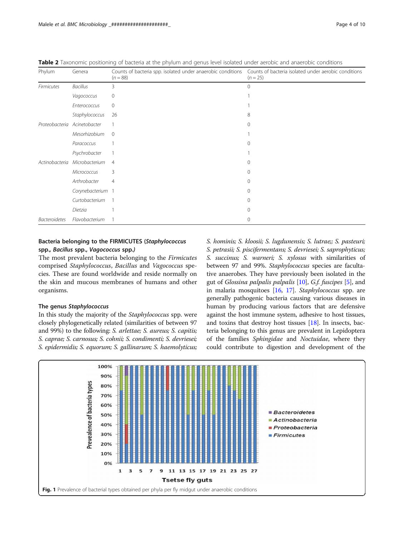| Phylum               | Genera          | Counts of bacteria spp. isolated under anaerobic conditions<br>$(n = 88)$ | Counts of bacteria isolated under aerobic conditions<br>$(n = 25)$ |
|----------------------|-----------------|---------------------------------------------------------------------------|--------------------------------------------------------------------|
| Firmicutes           | <b>Bacillus</b> | 3                                                                         | 0                                                                  |
|                      | Vagococcus      | $\mathbf 0$                                                               |                                                                    |
|                      | Enterococcus    | $\mathbf{0}$                                                              |                                                                    |
|                      | Staphylococcus  | 26                                                                        | 8                                                                  |
| Proteobacteria       | Acinetobacter   |                                                                           |                                                                    |
|                      | Mesorhizobium   | $\mathbf 0$                                                               |                                                                    |
|                      | Paracoccus      |                                                                           |                                                                    |
|                      | Psychrobacter   |                                                                           |                                                                    |
| Actinobacteria       | Microbacterium  | $\overline{4}$                                                            | 0                                                                  |
|                      | Micrococcus     | 3                                                                         | 0                                                                  |
|                      | Arthrobacter    | $\overline{4}$                                                            |                                                                    |
|                      | Corynebacterium |                                                                           |                                                                    |
|                      | Curtobacterium  |                                                                           |                                                                    |
|                      | Dietzia         |                                                                           |                                                                    |
| <b>Bacteroidetes</b> | Flavobacterium  |                                                                           |                                                                    |

<span id="page-3-0"></span>Table 2 Taxonomic positioning of bacteria at the phylum and genus level isolated under aerobic and anaerobic conditions

#### Bacteria belonging to the FIRMICUTES (Staphylococcus spp., Bacillus spp., Vagococcus spp.)

The most prevalent bacteria belonging to the Firmicutes comprised Staphylococcus, Bacillus and Vagococcus species. These are found worldwide and reside normally on the skin and mucous membranes of humans and other organisms.

#### The genus Staphylococcus

In this study the majority of the Staphylococcus spp. were closely phylogenetically related (similarities of between 97 and 99%) to the following: S. arlettae; S. aureus; S. capitis; S. caprae; S. carnosus; S. cohnii; S. condimenti; S. devriesei; S. epidermidis; S. equorum; S. gallinarum; S. haemolyticus; S. hominis; S. kloosii; S. lugdunensis; S. lutrae;; S. pasteuri; S. petrasii; S. piscifermentans; S. devriesei; S. saprophyticus; S. succinus; S. warneri; S. xylosus with similarities of between 97 and 99%. Staphylococcus species are facultative anaerobes. They have previously been isolated in the gut of Glossina palpalis palpalis [\[10](#page-8-0)], G.f. fuscipes [[5\]](#page-8-0), and in malaria mosquitoes [\[16,](#page-8-0) [17](#page-8-0)]. Staphylococcus spp. are generally pathogenic bacteria causing various diseases in human by producing various factors that are defensive against the host immune system, adhesive to host tissues, and toxins that destroy host tissues [[18](#page-8-0)]. In insects, bacteria belonging to this genus are prevalent in Lepidoptera of the families Sphingidae and Noctuidae, where they could contribute to digestion and development of the

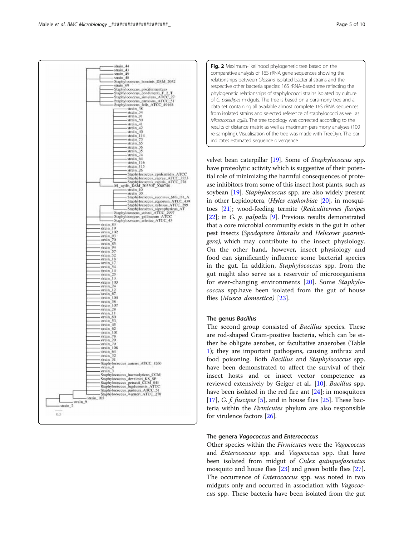<span id="page-4-0"></span>

Fig. 2 Maximum-likelihood phylogenetic tree based on the comparative analysis of 16S rRNA gene sequences showing the relationships between Glossina isolated bacterial strains and the respective other bacteria species: 16S rRNA-based tree reflecting the phylogenetic relationships of staphylococci strains isolated by culture of G. pallidipes midguts. The tree is based on a parsimony tree and a data set containing all available almost complete 16S rRNA sequences from isolated strains and selected reference of staphylococci as well as Micrococcus agilis. The tree topology was corrected according to the results of distance matrix as well as maximum-parsimony analyses (100 re-sampling). Visualisation of the tree was made with TreeDyn. The bar indicates estimated sequence divergence

velvet bean caterpillar [[19](#page-8-0)]. Some of Staphylococcus spp. have proteolytic activity which is suggestive of their potential role of minimizing the harmful consequences of protease inhibitors from some of this insect host plants, such as soybean [[19](#page-8-0)]. Staphylococcus spp. are also widely present in other Lepidoptera, (Hyles euphorbiae [\[20\]](#page-8-0), in mosquitoes [\[21](#page-8-0)]; wood-feeding termite (Reticulitermes flavipes [[22](#page-8-0)]; in G. p. palpalis [\[9\]](#page-8-0). Previous results demonstrated that a core microbial community exists in the gut in other pest insects (Spodoptera littoralis and Helicover paarmigera), which may contribute to the insect physiology. On the other hand, however, insect physiology and food can significantly influence some bacterial species in the gut. In addition, Staphylococcus spp. from the gut might also serve as a reservoir of microorganisms for ever-changing environments [[20\]](#page-8-0). Some Staphylococcus spp.have been isolated from the gut of house flies (Musca domestica) [[23\]](#page-8-0).

#### The genus Bacillus

The second group consisted of Bacillus species. These are rod-shaped Gram-positive bacteria, which can be either be obligate aerobes, or facultative anaerobes (Table [1\)](#page-2-0); they are important pathogens, causing anthrax and food poisoning. Both Bacillus and Staphylococcus spp. have been demonstrated to affect the survival of their insect hosts and or insect vector competence as reviewed extensively by Geiger et al., [[10\]](#page-8-0). *Bacillus* spp. have been isolated in the red fire ant [[24](#page-8-0)]; in mosquitoes [[17\]](#page-8-0), *G. f. fuscipes* [[5](#page-8-0)], and in house flies [[25](#page-8-0)]. These bacteria within the Firmicutes phylum are also responsible for virulence factors [\[26](#page-8-0)].

#### The genera Vagococcus and Enterococcus

Other species within the Firmicutes were the Vagococcus and *Enterococcus* spp. and *Vagococcus* spp. that have been isolated from midgut of Culex quinquefasciatus mosquito and house flies [\[23\]](#page-8-0) and green bottle flies [\[27](#page-8-0)]. The occurrence of *Enterococcus* spp. was noted in two midguts only and occurred in association with Vagococcus spp. These bacteria have been isolated from the gut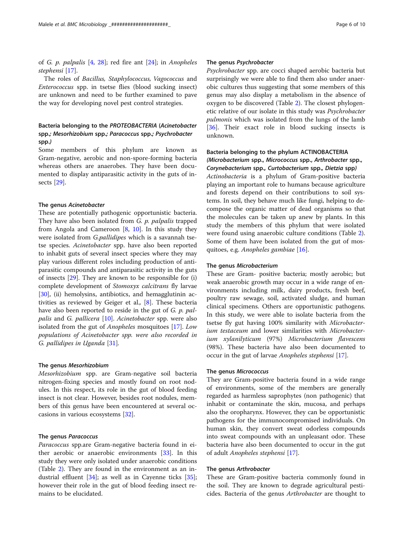of G. p. palpalis [[4,](#page-8-0) [28\]](#page-8-0); red fire ant [\[24\]](#page-8-0); in Anopheles stephensi [\[17](#page-8-0)].

The roles of Bacillus, Staphylococcus, Vagococcus and Enterococcus spp. in tsetse flies (blood sucking insect) are unknown and need to be further examined to pave the way for developing novel pest control strategies.

#### Bacteria belonging to the PROTEOBACTERIA (Acinetobacter spp.; Mesorhizobium spp.; Paracoccus spp.; Psychrobacter spp.)

Some members of this phylum are known as Gram-negative, aerobic and non-spore-forming bacteria whereas others are anaerobes. They have been documented to display antiparasitic activity in the guts of insects [[29](#page-8-0)].

#### The genus Acinetobacter

These are potentially pathogenic opportunistic bacteria. They have also been isolated from G. p. palpalis trapped from Angola and Cameroon [\[8](#page-8-0), [10](#page-8-0)]. In this study they were isolated from *G.pallidipes* which is a savannah tsetse species. Acinetobacter spp. have also been reported to inhabit guts of several insect species where they may play various different roles including production of antiparasitic compounds and antiparasitic activity in the guts of insects [[29](#page-8-0)]. They are known to be responsible for (i) complete development of Stomoxyx calcitrans fly larvae [[30\]](#page-8-0), (ii) hemolysins, antibiotics, and hemagglutinin ac-tivities as reviewed by Geiger et al., [\[8](#page-8-0)]. These bacteria have also been reported to reside in the gut of G. p. pal-palis and G. pallicera [[10\]](#page-8-0). Acinetobacter spp. were also isolated from the gut of Anopheles mosquitoes [[17](#page-8-0)]. Low populations of Acinetobacter spp. were also recorded in G. pallidipes in Uganda [[31\]](#page-8-0).

#### The genus Mesorhizobium

Mesorhizobium spp. are Gram-negative soil bacteria nitrogen-fixing species and mostly found on root nodules. In this respect, its role in the gut of blood feeding insect is not clear. However, besides root nodules, members of this genus have been encountered at several occasions in various ecosystems [\[32\]](#page-8-0).

#### The genus Paracoccus

Paracoccus spp.are Gram-negative bacteria found in either aerobic or anaerobic environments [\[33\]](#page-8-0). In this study they were only isolated under anaerobic conditions (Table [2\)](#page-3-0). They are found in the environment as an industrial effluent [[34](#page-8-0)]; as well as in Cayenne ticks [\[35](#page-8-0)]; however their role in the gut of blood feeding insect remains to be elucidated.

#### The genus Psychrobacter

Psychrobacter spp. are cocci shaped aerobic bacteria but surprisingly we were able to find them also under anaerobic cultures thus suggesting that some members of this genus may also display a metabolism in the absence of oxygen to be discovered (Table [2\)](#page-3-0). The closest phylogenetic relative of our isolate in this study was Psychrobacter pulmonis which was isolated from the lungs of the lamb [[36\]](#page-8-0). Their exact role in blood sucking insects is unknown.

#### Bacteria belonging to the phylum ACTINOBACTERIA (Microbacterium spp., Micrococcus spp., Arthrobacter spp., Corynebacterium spp., Curtobacterium spp., Dietzia spp)

Actinobacteria is a phylum of Gram-positive bacteria playing an important role to humans because agriculture and forests depend on their contributions to soil systems. In soil, they behave much like fungi, helping to decompose the organic matter of dead organisms so that the molecules can be taken up anew by plants. In this study the members of this phylum that were isolated were found using anaerobic culture conditions (Table [2](#page-3-0)). Some of them have been isolated from the gut of mosquitoes, e.g. Anopheles gambiae [[16](#page-8-0)].

#### The genus Microbacterium

These are Gram- positive bacteria; mostly aerobic; but weak anaerobic growth may occur in a wide range of environments including milk, dairy products, fresh beef, poultry raw sewage, soil, activated sludge, and human clinical specimens. Others are opportunistic pathogens. In this study, we were able to isolate bacteria from the tsetse fly gut having 100% similarity with Microbacterium testaceum and lower similarities with Microbacterium xylanilyticum (97%) Microbacterium flavescens (98%). These bacteria have also been documented to occur in the gut of larvae Anopheles stephensi [[17](#page-8-0)].

#### The genus Micrococcus

They are Gram-positive bacteria found in a wide range of environments, some of the members are generally regarded as harmless saprophytes (non pathogenic) that inhabit or contaminate the skin, mucosa, and perhaps also the oropharynx. However, they can be opportunistic pathogens for the immunocompromised individuals. On human skin, they convert sweat odorless compounds into sweat compounds with an unpleasant odor. These bacteria have also been documented to occur in the gut of adult Anopheles stephensi [\[17](#page-8-0)].

#### The genus Arthrobacter

These are Gram-positive bacteria commonly found in the soil. They are known to degrade agricultural pesticides. Bacteria of the genus Arthrobacter are thought to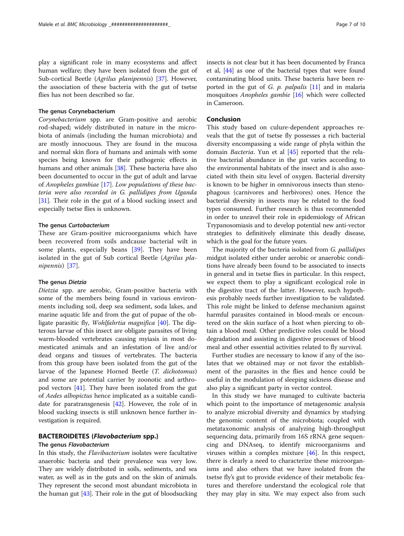#### The genus Corynebacterium

Corynebacterium spp. are Gram-positive and aerobic rod-shaped; widely distributed in nature in the microbiota of animals (including the human microbiota) and are mostly innocuous. They are found in the mucosa and normal skin flora of humans and animals with some species being known for their pathogenic effects in humans and other animals [\[38](#page-8-0)]. These bacteria have also been documented to occur in the gut of adult and larvae of Anopheles gambiae [\[17\]](#page-8-0). Low populations of these bacteria were also recorded in G. pallidipes from Uganda [[31\]](#page-8-0). Their role in the gut of a blood sucking insect and especially tsetse flies is unknown.

#### The genus Curtobacterium

These are Gram-positive microorganisms which have been recovered from soils andcause bacterial wilt in some plants, especially beans [\[39](#page-8-0)]. They have been isolated in the gut of Sub cortical Beetle (Agrilus planipennis) [[37](#page-8-0)].

#### The genus Dietzia

Dietzia spp. are aerobic, Gram-positive bacteria with some of the members being found in various environments including soil, deep sea sediment, soda lakes, and marine aquatic life and from the gut of pupae of the obligate parasitic fly, Wohlfahrtia magnifica [[40](#page-8-0)]. The dipterous larvae of this insect are obligate parasites of living warm-blooded vertebrates causing myiasis in most domesticated animals and an infestation of live and/or dead organs and tissues of vertebrates. The bacteria from this group have been isolated from the gut of the larvae of the Japanese Horned Beetle (T. dichotomus) and some are potential carrier by zoonotic and arthropod vectors [\[41](#page-8-0)]. They have been isolated from the gut of Aedes albopictus hence implicated as a suitable candidate for paratransgenesis [[42\]](#page-8-0). However, the role of in blood sucking insects is still unknown hence further investigation is required.

#### BACTEROIDETES (Flavobacterium spp.)

#### The genus Flavobacterium

In this study, the *Flavibacterium* isolates were facultative anaerobic bacteria and their prevalence was very low. They are widely distributed in soils, sediments, and sea water, as well as in the guts and on the skin of animals. They represent the second most abundant microbiota in the human gut [[43](#page-8-0)]. Their role in the gut of bloodsucking insects is not clear but it has been documented by Franca et al, [\[44](#page-8-0)] as one of the bacterial types that were found contaminating blood units. These bacteria have been reported in the gut of G.  $p$ . palpalis  $[11]$  $[11]$  $[11]$  and in malaria mosquitoes Anopheles gambie [[16\]](#page-8-0) which were collected in Cameroon.

#### Conclusion

This study based on culure-dependent approaches reveals that the gut of tsetse fly possesses a rich bacterial diversity encompassing a wide range of phyla within the domain Bacteria. Yun et al [[45\]](#page-9-0) reported that the relative bacterial abundance in the gut varies according to the environmental habitats of the insect and is also associated with thein situ level of oxygen. Bacterial diversity is known to be higher in omnivorous insects than stenophagous (carnivores and herbivores) ones. Hence the bacterial diversity in insects may be related to the food types consumed. Further research is thus recommended in order to unravel their role in epidemiology of African Trypanosomiasis and to develop potential new anti-vector strategies to definitively eliminate this deadly disease, which is the goal for the future years.

The majority of the bacteria isolated from *G. pallidipes* midgut isolated either under aerobic or anaerobic conditions have already been found to be associated to insects in general and in tsetse flies in particular. In this respect, we expect them to play a significant ecological role in the digestive tract of the latter. However, such hypothesis probably needs further investigation to be validated. This role might be linked to defense mechanism against harmful parasites contained in blood-meals or encountered on the skin surface of a host when piercing to obtain a blood meal. Other predictive roles could be blood degradation and assisting in digestive processes of blood meal and other essential activities related to fly survival.

Further studies are necessary to know if any of the isolates that we obtained may or not favor the establishment of the parasites in the flies and hence could be useful in the modulation of sleeping sickness disease and also play a significant party in vector control.

In this study we have managed to cultivate bacteria which point to the importance of metagenomic analysis to analyze microbial diversity and dynamics by studying the genomic content of the microbiota; coupled with metataxonomic analysis of analyzing high-throughput sequencing data, primarily from 16S rRNA gene sequencing and DNAseq, to identify microorganisms and viruses within a complex mixture [\[46\]](#page-9-0). In this respect, there is clearly a need to characterize these microorganisms and also others that we have isolated from the tsetse fly's gut to provide evidence of their metabolic features and therefore understand the ecological role that they may play in situ. We may expect also from such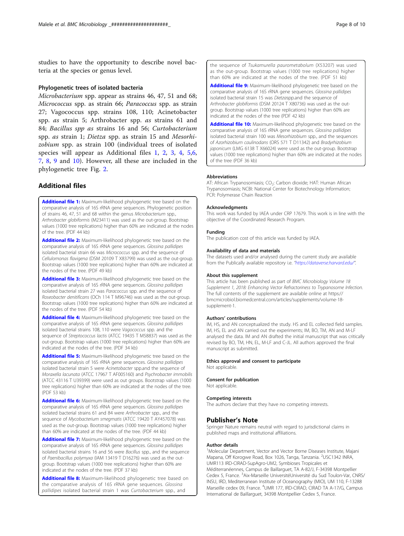<span id="page-7-0"></span>studies to have the opportunity to describe novel bacteria at the species or genus level.

#### Phylogenetic trees of isolated bacteria

Microbacterium spp. appear as strains 46, 47, 51 and 68; Micrococcus spp. as strain 66; Paracoccus spp. as strain 27; Vagococcus spp. strains 108, 110; Acinetobacter spp. as strain 5; Arthrobacter spp. as strains 61 and 84; Bacillus spp as strains 16 and 56; Curtobacterium spp. as strain 1; Dietza spp. as strain 15 and Mesorhizobium spp. as strain 100 (individual trees of isolated species will appear as Additional files 1, 2, 3, 4, 5,6, 7, 8, 9 and 10). However, all these are included in the phylogenetic tree Fig. [2](#page-4-0).

#### Additional files

[Additional file 1:](https://doi.org/10.1186/s12866-018-1288-3) Maximum-likelihood phylogenetic tree based on the comparative analysis of 16S rRNA gene sequences. Phylogenetic position of strains 46, 47, 51 and 68 within the genus Microbacterium spp., Arthrobacter globiformis (M23411) was used as the out-group. Bootstrap values (1000 tree replications) higher than 60% are indicated at the nodes of the tree. (PDF 44 kb)

[Additional file 2:](https://doi.org/10.1186/s12866-018-1288-3) Maximum-likelihood phylogenetic tree based on the comparative analysis of 16S rRNA gene sequences. Glossina pallidipes isolated bacterial strain 66 was Micrococcus spp. and the sequence of Cellulomonas flavigena (DSM 20109 T X83799) was used as the out-group. Bootstrap values (1000 tree replications) higher than 60% are indicated at the nodes of the tree. (PDF 49 kb)

[Additional file 3:](https://doi.org/10.1186/s12866-018-1288-3) Maximum-likelihood phylogenetic tree based on the comparative analysis of 16S rRNA gene sequences. Glossina pallidipes isolated bacterial strain 27 was Paracoccus spp. and the sequence of Roseobacter denitificans (OCh 114 T M96746) was used as the out-group. Bootstrap values (1000 tree replications) higher than 60% are indicated at the nodes of the tree. (PDF 54 kb)

[Additional file 4:](https://doi.org/10.1186/s12866-018-1288-3) Maximum-likelihood phylogenetic tree based on the comparative analysis of 16S rRNA gene sequences. Glossina pallidipes isolated bacterial strains 108, 110 were Vagococcus spp. and the sequence of Streptococcus lactis (ATCC 19435 T M58837) was used as the out-group. Bootstrap values (1000 tree replications) higher than 60% are indicated at the nodes of the tree. (PDF 34 kb)

[Additional file 5:](https://doi.org/10.1186/s12866-018-1288-3) Maximum-likelihood phylogenetic tree based on the comparative analysis of 16S rRNA gene sequences. Glossina pallidipes isolated bacterial strain 5 were Acinetobacter spp.and the sequence of Moraxella lacunata (ATCC 17967 T AF005160) and Psychrobacter immobilis (ATCC 43116 T U39399) were used as out groups. Bootstrap values (1000 tree replications) higher than 60% are indicated at the nodes of the tree. (PDF 53 kb)

[Additional file 6:](https://doi.org/10.1186/s12866-018-1288-3) Maximum-likelihood phylogenetic tree based on the comparative analysis of 16S rRNA gene sequences. Glossina pallidipes isolated bacterial strains 61 and 84 were Arthrobacter spp., and the sequence of Mycobacterium smegmatis (ATCC 19420 T AY457078) was used as the out-group. Bootstrap values (1000 tree replications) higher than 60% are indicated at the nodes of the tree. (PDF 44 kb)

[Additional file 7:](https://doi.org/10.1186/s12866-018-1288-3) Maximum-likelihood phylogenetic tree based on the comparative analysis of 16S rRNA gene sequences. Glossina pallidipes isolated bacterial strains 16 and 56 were Bacillus spp., and the sequence of Paenibacillus polymyxa (IAM 13419 T D16276) was used as the outgroup. Bootstrap values (1000 tree replications) higher than 60% are indicated at the nodes of the tree. (PDF 37 kb)

[Additional file 8:](https://doi.org/10.1186/s12866-018-1288-3) Maximum-likelihood phylogenetic tree based on the comparative analysis of 16S rRNA gene sequences. Glossina pallidipes isolated bacterial strain 1 was Curtobacterium spp., and

the sequence of Tsukamurella paurometabolum (X53207) was used as the out-group. Bootstrap values (1000 tree replications) higher than 60% are indicated at the nodes of the tree. (PDF 51 kb)

[Additional file 9:](https://doi.org/10.1186/s12866-018-1288-3) Maximum-likelihood phylogenetic tree based on the comparative analysis of 16S rRNA gene sequences. Glossina pallidipes isolated bacterial strain 15 was Dietzaspp.and the sequence of Arthrobacter globiformis (DSM 20124 T X80736) was used as the outgroup. Bootstrap values (1000 tree replications) higher than 60% are indicated at the nodes of the tree (PDF 42 kb)

[Additional file 10:](https://doi.org/10.1186/s12866-018-1288-3) Maximum-likelihood phylogenetic tree based on the comparative analysis of 16S rRNA gene sequences. Glossina pallidipes isolated bacterial strain 100 was Mesorhizobium spp., and the sequences of Azorhizobium caulinodans (ORS 571 T D11342) and Bradyrhizobium japonicum (LMG 6138 T X66024) were used as the out-group. Bootstrap values (1000 tree replications) higher than 60% are indicated at the nodes of the tree (PDF 36 kb)

#### Abbreviations

AT: African Trypanosomiasis; CO<sub>2</sub>: Carbon dioxide: HAT: Human African Trypanosomiasis; NCBI: National Center for Biotechnology Information; PCR: Polymerase Chain Reaction

#### Acknowledgments

This work was funded by IAEA under CRP 17679. This work is in line with the objective of the Coordinated Research Program.

#### Funding

The publication cost of this article was funded by IAEA.

#### Availability of data and materials

The datasets used and/or analysed during the current study are available from the Publically available repository i.e. "<https://dataverse.harvard.edu/>".

#### About this supplement

This article has been published as part of BMC Microbiology Volume 18 Supplement 1, 2018: Enhancing Vector Refractoriness to Trypanosome Infection. The full contents of the supplement are available online at https:// bmcmicrobiol.biomedcentral.com/articles/supplements/volume-18 supplement-1.

#### Authors' contributions

IM, HS, and AN conceptualized the study. HS and EL collected field samples. IM, HS, EL and AN carried out the experiments; IM, BO, TM, AN and M-LF analysed the data. IM and AN drafted the initial manuscript that was critically revised by BO, TM, HN, EL, M-LF and C-JL. All authors approved the final manuscript as submitted.

#### Ethics approval and consent to participate

Not applicable.

#### Consent for publication

Not applicable.

#### Competing interests

The authors declare that they have no competing interests.

#### Publisher's Note

Springer Nature remains neutral with regard to jurisdictional claims in published maps and institutional affiliations.

#### Author details

<sup>1</sup>Molecular Department, Vector and Vector Borne Diseases Institute, Majani Mapana, Off Korogwe Road, Box 1026, Tanga, Tanzania. <sup>2</sup>USC1342 INRA UMR113 IRD-CIRAD-SupAgro-UM2, Symbioses Tropicales et Méditerranéennes, Campus de Baillarguet, TA A-82/J, F-34398 Montpellier Cedex 5, France. <sup>3</sup> Aix-Marseille UniversitéUniversité du Sud Toulon-Var, CNRS/ INSU, IRD, Mediterranean Institute of Oceanography (MIO), UM 110, F-13288 Marseille cedex 09, France. <sup>4</sup>UMR 177, IRD-CIRAD, CIRAD TA A-17/G, Campus International de Baillarguet, 34398 Montpellier Cedex 5, France.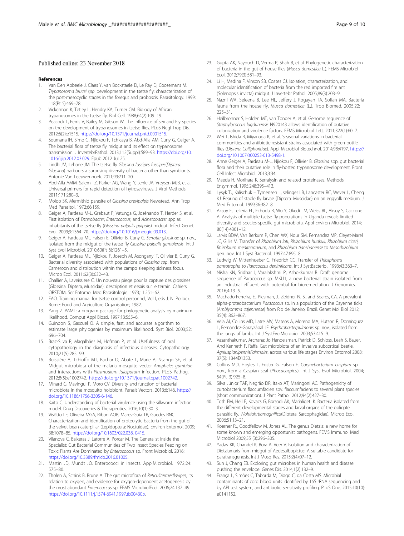#### <span id="page-8-0"></span>Published online: 23 November 2018

#### References

- Van Den Abbeele J, Claes Y, van Bockstaele D, Le Ray D, Coosemans M. Trypanosoma brucei spp. development in the tsetse fly: characterization of the post-mesocyclic stages in the foregut and proboscis. Parasitology. 1999; 118(Pt 5):469–78.
- 2. Vickerman K, Tetley L, Hendry KA, Turner CM. Biology of African trypanosomes in the tsetse fly. Biol Cell. 1988;64(2):109–19.
- 3. Peacock L, Ferris V, Bailey M, Gibson W. The influence of sex and Fly species on the development of trypanosomes in tsetse flies. PLoS Negl Trop Dis. 2012;6(2):e1515. <https://doi.org/10.1371/journal.pntd.0001515>.
- 4. Soumana IH, Simo G, Njiokou F, Tchicaya B, Abd-Alla AM, Cuny G, Geiger A. The bacterial flora of tsetse fly midgut and its effect on trypanosome transmission. J InvertebrPathol. 2013;112(Suppl):S89–93. [https://doi.org/10.](https://doi.org/10.1016/j.jip.2012.03.029) [1016/j.jip.2012.03.029.](https://doi.org/10.1016/j.jip.2012.03.029) Epub 2012 Jul 25.
- 5. Lindh JM, Lehane JM. The tsetse fly Glossina fuscipes fuscipes(Diptera: Glossina) harbours a surprising diversity of bacteria other than symbionts. Antonie Van Leeuwenhoek. 2011;99:711–20.
- 6. Abd-Alla AMM, Salem TZ, Parker AG, Wang Y, Jehle JA, Vreysen MJB, et al. Universal primers for rapid detection of hytrosaviruses. J Virol Methods. 2011;171:280–3.
- 7. Moloo SK. Mermithid parasite of Glossina brevipalpis Newstead. Ann Trop Med Parasitol. 1972;66:159.
- 8. Geiger A, Fardeau M-L, Grebaut P, Vatunga G, Josénando T, Herder S, et al. First isolation of Enterobacter, Enterococcus, and Acinetobacter spp as inhabitants of the tsetse fly (Glossina palpalis palpalis) midgut. Infect Genet Evol. 2009;9:1364–70. [https://doi.org/10.1016/j.meegid.09.013.](https://doi.org/10.1016/j.meegid.09.013)
- 9. Geiger A, Fardeau ML, Falsen E, Ollivier B, Cuny G. Serratia glossinae sp. nov., isolated from the midgut of the tsetse fly Glossina palpalis gambiensis. Int J Syst Evol Microbiol. 2010;60(Pt 6):1261–5.
- 10. Geiger A, Fardeau ML, Njiokou F, Joseph M, Asonganyi T, Ollivier B, Cuny G. Bacterial diversity associated with populations of Glossina spp. from Cameroon and distribution within the campo sleeping sickness focus. Microb Ecol. 2011;62(3):632–43.
- 11. Challier A, Laveissiere C. Un nouveau piege pour la capture des glossines (Glossina: Diptera, Muscidae): description et essais sur le terrain. Cahiers ORSTOM, Ser Entomol Med Parasitologie. 1973;11:251–62.
- 12. FAO. Training manual for tsetse control personnel, Vol I, eds J. N. Pollock. Rome: Food and Agriculture Organisation; 1982.
- Yang Z. PAML: a program package for phylogenetic analysis by maximum likelihood. Comput Appl Biosci. 1997;13:555–6.
- 14. Guindon S, Gascuel O. A simple, fast, and accurate algorithm to estimate large phylogenies by maximum likelihood. Syst Biol. 2003;52: 696–704.
- 15. Braz-Silva P, Magalhães M, Hofman P, et al. Usefulness of oral cytopathology in the diagnosis of infectious diseases. Cytopathology. 2010;21(5):285–99.
- 16. Boissière A, Tchioffo MT, Bachar D, Abate L, Marie A, Nsango SE, et al. Midgut microbiota of the malaria mosquito vector Anopheles gambiae and interactions with Plasmodium falciparum infection. PLoS Pathog. 2012;8(5):e1002742. <https://doi.org/10.1371/journal.ppat.1002742>.
- 17. Minard G, Mavingui P, Moro CV. Diversity and function of bacterial microbiota in the mosquito holobiont. Parasit Vectors. 2013;6:146. [https://](https://doi.org/10.1186/1756-3305-6-146) [doi.org/10.1186/1756-3305-6-146](https://doi.org/10.1186/1756-3305-6-146).
- 18. Kaito C. Understanding of bacterial virulence using the silkworm infection model. Drug Discoveries & Therapeutics. 2016;10(1):30–3.
- 19. Visôtto LE, Oliveira MGA, Ribon AOB, Mares-Guia TR, Guedes RNC. Characterization and identification of proteolytic bacteria from the gut of the velvet bean caterpillar (Lepidoptera: Noctuidae). Environ Entomol. 2009; 38:1078–85. [https://doi.org/10.1603/022.038. 0415.](https://doi.org/10.1603/022.038. 0415)
- 20. Vilanova C, Baixeras J, Latorre A, Porcar M. The Generalist Inside the Specialist: Gut Bacterial Communities of Two Insect Species Feeding on Toxic Plants Are Dominated by Enterococcus sp. Front Microbiol. 2016; <https://doi.org/10.3389/fmicb.2016.01005>.
- 21. Martin JD, Mundt JO. Enterococci in insects. ApplMicrobiol. 1972;24: 575–80.
- 22. Tholen A, Schink B, Brune A. The gut microflora of Reticulitermesflavipes, its relation to oxygen, and evidence for oxygen-dependent acetogenesis by the most abundant Enterococcus sp. FEMS MicrobiolEcol. 2006;24:137–49. <https://doi.org/10.1111/j.1574-6941.1997.tb00430.x>.
- 23. Gupta AK, Nayduch D, Verma P, Shah B, et al. Phylogenetic characterization of bacteria in the gut of house flies (Musca domestica L.). FEMS Microbiol Ecol. 2012;79(3):581–93.
- 24. Li H, Medina F, Vinson SB, Coates CJ. Isolation, characterization, and molecular identification of bacteria from the red imported fire ant (Solenopsis invicta) midgut. J Invertebr Pathol. 2005;89(3):203–9.
- 25. Nazni WA, Seleena B, Lee HL, Jeffery J, Rogayah TA, Sofian MA. Bacteria fauna from the house fly, Musca domestica (L.). Trop Biomed. 2005;22: 225–31.
- 26. Heilbronner S, Holden MT, van Tonder A, et al. Genome sequence of Staphylococcus lugdunensis N920143 allows identification of putative colonization and virulence factors. FEMS Microbiol Lett. 2011;322(1):60–7.
- 27. Wei T, Ishida R, Miyanaga K, et al. Seasonal variations in bacterial communities and antibiotic-resistant strains associated with green bottle flies (Diptera: Calliphoridae). Appl Microbiol Biotechnol. 2014;98:4197. [https://](https://doi.org/10.1007/s00253-013-5498-1) [doi.org/10.1007/s00253-013-5498-1.](https://doi.org/10.1007/s00253-013-5498-1)
- 28. Anne Geiger A, Fardeau M-L, Njiokou F, Ollivier B. Glossina spp. gut bacterial flora and their putative role in fly-hosted trypanosome development. Front Cell Infect Microbiol. 2013;3:34.
- 29. Maeda H, Morihara K. Serralysin and related proteinases. Methods Enzymmol. 1995;248:395–413.
- 30. Lysyk TJ, Kalischuk Tymensen L, selinger LB, Lancaster RC, Wever L, Cheng KJ. Rearing of stable fly larvae (Diptera: Muscidae) on an eggyolk medium. J Med Entomol. 1999;36:382–8.
- 31. Aksoy E, Telleria EL, Echodu R, Wu Y, Okedi LM, Weiss BL, Aksoy S, Caccone A. Analysis of multiple tsetse fly populations in Uganda reveals limited diversity and species-specific gut microbiota. Appl Environ Microbiol. 2014; 80(14):4301–12.
- 32. Jarvis BDW, Van Berkum P, Chen WX, Nour SM, Fernandez MP, Cleyet-Marel JC, Gillis M. Transfer of Rhizobium loti, Rhizobium huakuii, Rhizobium ciceri, Rhizobium mediterraneum, and Rhizobium tianshanense to Mesorhizobium gen. nov. Int J Syst Bacteriol. 1997;47:895–8.
- 33. Ludwig W, Mittenhueber G, Friedrich CG. Transfer of Thiosphaera pantotropha to Paracoccus denitrificans. Int J SystBacteriol. 1993;43:363-7.
- 34. Nisha KN, Sridhar J, Varalakshmi P, Ashokkumar B. Draft genome sequence of Paracoccus sp. MKU1, a new bacterial strain isolated from an industrial effluent with potential for bioremediation. J Genomics. 2016;4:13–5.
- 35. Machado-Ferreira, E., Piesman, J., Zeidner N. S., and Soares, CA. A prevalent alpha-proteobacterium Paracoccus sp. in a population of the Cayenne ticks (Amblyomma cajennense) from Rio de Janeiro, Brazil. Genet Mol Biol 2012; 35(4): 862–867.
- 36. Vela AI, Collins MD, Latre MV, Mateos A, Moreno MA, Hutson R, Domínguez L, Fernández-Garayzábal JF. Psychrobacterpulmonis sp. nov., isolated from the lungs of lambs. Int J SystEvolMicrobiol. 2003;53:415–9.
- 37. Vasanthakumar, Archana; Jo Handelsman, Patrick D. Schloss, Leah S. Bauer, And Kenneth F. Raffa. Gut microbiota of an invasive subcortical beetle, AgrilusplanipennisFairmaire, across various life stages Environ Entomol 2008; 37(5): 1344Ð1353.
- 38. Collins MD, Hoyles L, Foster G, Falsen E. Corynebacterium caspium sp. nov., from a Caspian seal (Phocacaspica). Int J Syst Evol Microbiol. 2004; 54(Pt 3):925–8.
- 39. Silva Júnior TAF, Negrão DR, Itako AT, Maringoni AC. Pathogenicity of curtobacterium flaccumfacien spv. flaccumfaciens to several plant species (short communication). J Plant Pathol. 2012;94(2):427–30.
- 40. Toth EM, Hell E, Kovacs G, Borsodi AK, Marialigeti K. Bacteria isolated from the different developmental stages and larval organs of the obligate parasitic fly, Wohlfahrtiamagnifica(Diptera: Sarcophagidae). Microb Ecol. 2006;51:13–21.
- 41. Koerner RJ, Goodfellow M, Jones AL. The genus Dietzia: a new home for some known and emerging opportunist pathogens. FEMS Immunol Med Microbiol 2009;55 (3):296–305.
- 42. Yadav KK, Chandel K, Bora A, Veer V. Isolation and characterization of Dietziamaris from midgut of Aedesalbopictus: A suitable candidate for paratransgenesis. Int J Mosq Res. 2015;2(4):07–12.
- 43. Sun J, Chang EB. Exploring gut microbes in human health and disease: pushing the envelope. Genes Dis. 2014;1(2):132–9.
- 44. França L, Simões C, Taborda M, Diogo C, da Costa MS. Microbial contaminants of cord blood units identified by 16S rRNA sequencing and by API test system, and antibiotic sensitivity profiling. PLoS One. 2015;10(10): e0141152.